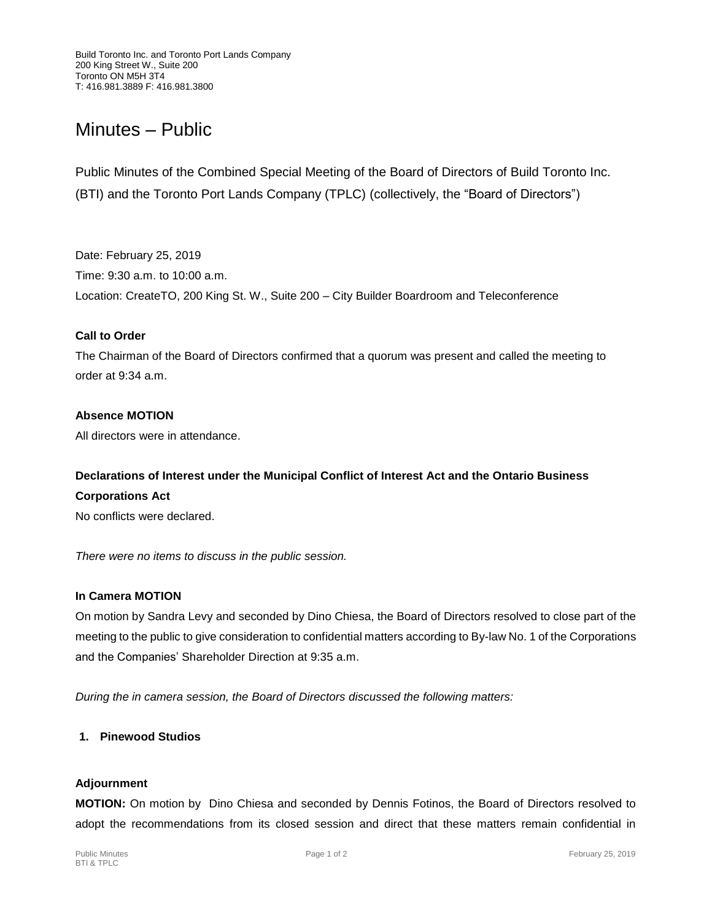# Minutes – Public

Public Minutes of the Combined Special Meeting of the Board of Directors of Build Toronto Inc. (BTI) and the Toronto Port Lands Company (TPLC) (collectively, the "Board of Directors")

Date: February 25, 2019 Time: 9:30 a.m. to 10:00 a.m. Location: CreateTO, 200 King St. W., Suite 200 – City Builder Boardroom and Teleconference

#### **Call to Order**

The Chairman of the Board of Directors confirmed that a quorum was present and called the meeting to order at 9:34 a.m.

## **Absence MOTION**

All directors were in attendance.

## **Declarations of Interest under the Municipal Conflict of Interest Act and the Ontario Business**

**Corporations Act**

No conflicts were declared.

*There were no items to discuss in the public session.*

#### **In Camera MOTION**

On motion by Sandra Levy and seconded by Dino Chiesa, the Board of Directors resolved to close part of the meeting to the public to give consideration to confidential matters according to By-law No. 1 of the Corporations and the Companies' Shareholder Direction at 9:35 a.m.

*During the in camera session, the Board of Directors discussed the following matters:*

## **1. Pinewood Studios**

#### **Adjournment**

**MOTION:** On motion by Dino Chiesa and seconded by Dennis Fotinos, the Board of Directors resolved to adopt the recommendations from its closed session and direct that these matters remain confidential in